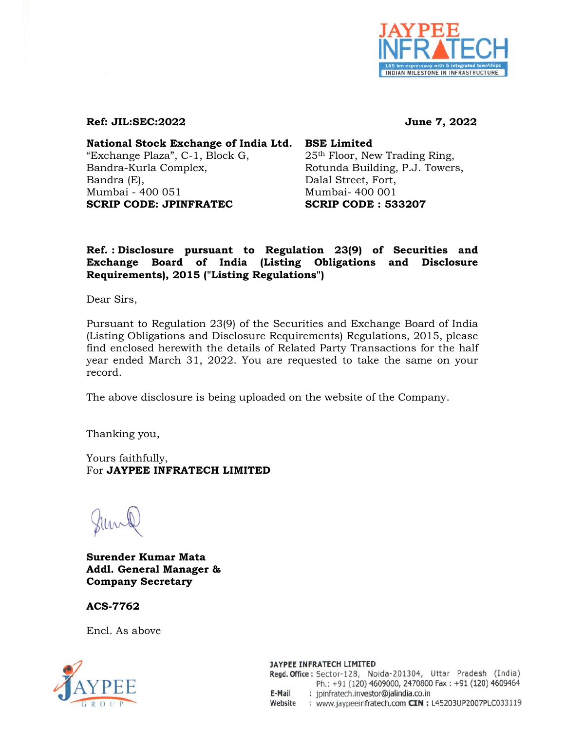

## **Ref: JIL:SEC:2022 June 7, 2022**

**National Stock Exchange of India Ltd. BSE Limited** "Exchange Plaza", C-1, Block G, 25<sup>th</sup> Floor, New Trading Ring, Bandra-Kurla Complex, Rotunda Building, P.J. Towers, Bandra (E), Dalal Street, Fort, Mumbai - 400 051 Mumbai- 400 001 **SCRIP CODE: JPINFRATEC SCRIP CODE : 533207** 

## **Ref. : Disclosure pursuant to Regulation 23(9) of Securities and Exchange Board of India (Listing Obligations and Disclosure Requirements), 2015 ("Listing Regulations")**

Dear Sirs,

Pursuant to Regulation 23(9) of the Securities and Exchange Board of India (Listing Obligations and Disclosure Requirements) Regulations, 2015, please find enclosed herewith the details of Related Party Transactions for the half year ended March 31, 2022. You are requested to take the same on your record.

The above disclosure is being uploaded on the website of the Company.

Thanking you,

Yours faithfully, For **JAYPEE INFRATECH LIMITED** 

**Surender Kumar Mata Addl. General Manager & Company Secretary** 

**ACS-7762** 

Encl. As above



JAYPEE INFRATECH LIMITED Regd. Office: Sector-128, Noida-201304, Uttar Pradesh (India) Ph.: +91 (120) 4609000, 2470800 Fax: +91 (120) 4609464 : jpinfratech.investor@jalindia.co.in E-Mail Website : www.jaypeeinfratech.com CIN : L45203UP2007PLC033119